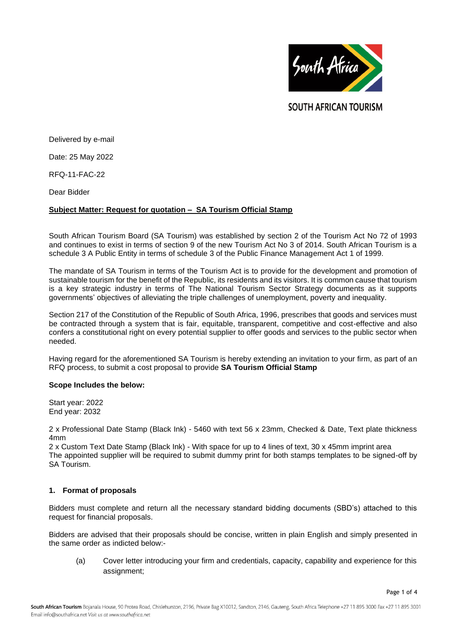

**SOUTH AFRICAN TOURISM** 

Delivered by e-mail

Date: 25 May 2022

RFQ-11-FAC-22

Dear Bidder

### **Subject Matter: Request for quotation – SA Tourism Official Stamp**

South African Tourism Board (SA Tourism) was established by section 2 of the Tourism Act No 72 of 1993 and continues to exist in terms of section 9 of the new Tourism Act No 3 of 2014. South African Tourism is a schedule 3 A Public Entity in terms of schedule 3 of the Public Finance Management Act 1 of 1999.

The mandate of SA Tourism in terms of the Tourism Act is to provide for the development and promotion of sustainable tourism for the benefit of the Republic, its residents and its visitors. It is common cause that tourism is a key strategic industry in terms of The National Tourism Sector Strategy documents as it supports governments' objectives of alleviating the triple challenges of unemployment, poverty and inequality.

Section 217 of the Constitution of the Republic of South Africa, 1996, prescribes that goods and services must be contracted through a system that is fair, equitable, transparent, competitive and cost-effective and also confers a constitutional right on every potential supplier to offer goods and services to the public sector when needed.

Having regard for the aforementioned SA Tourism is hereby extending an invitation to your firm, as part of an RFQ process, to submit a cost proposal to provide **SA Tourism Official Stamp**

#### **Scope Includes the below:**

Start year: 2022 End year: 2032

2 x Professional Date Stamp (Black Ink) - 5460 with text 56 x 23mm, Checked & Date, Text plate thickness 4mm

2 x Custom Text Date Stamp (Black Ink) - With space for up to 4 lines of text, 30 x 45mm imprint area The appointed supplier will be required to submit dummy print for both stamps templates to be signed-off by SA Tourism.

# **1. Format of proposals**

Bidders must complete and return all the necessary standard bidding documents (SBD's) attached to this request for financial proposals.

Bidders are advised that their proposals should be concise, written in plain English and simply presented in the same order as indicted below:-

(a) Cover letter introducing your firm and credentials, capacity, capability and experience for this assignment;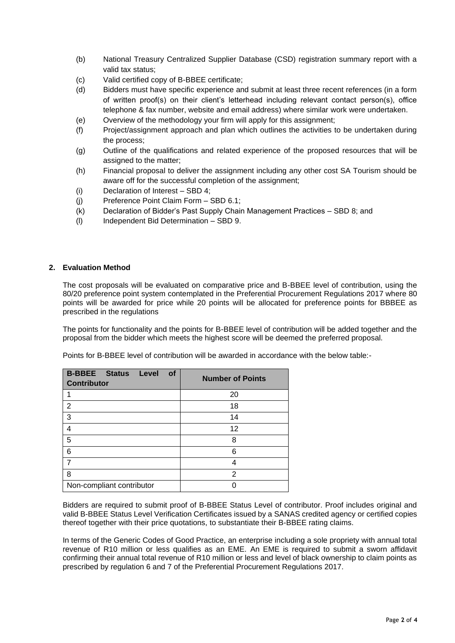- (b) National Treasury Centralized Supplier Database (CSD) registration summary report with a valid tax status;
- (c) Valid certified copy of B-BBEE certificate;
- (d) Bidders must have specific experience and submit at least three recent references (in a form of written proof(s) on their client's letterhead including relevant contact person(s), office telephone & fax number, website and email address) where similar work were undertaken.
- (e) Overview of the methodology your firm will apply for this assignment;
- (f) Project/assignment approach and plan which outlines the activities to be undertaken during the process;
- (g) Outline of the qualifications and related experience of the proposed resources that will be assigned to the matter;
- (h) Financial proposal to deliver the assignment including any other cost SA Tourism should be aware off for the successful completion of the assignment;
- (i) Declaration of Interest SBD 4;
- (j) Preference Point Claim Form SBD 6.1;
- (k) Declaration of Bidder's Past Supply Chain Management Practices SBD 8; and
- (l) Independent Bid Determination SBD 9.

# **2. Evaluation Method**

The cost proposals will be evaluated on comparative price and B-BBEE level of contribution, using the 80/20 preference point system contemplated in the Preferential Procurement Regulations 2017 where 80 points will be awarded for price while 20 points will be allocated for preference points for BBBEE as prescribed in the regulations

The points for functionality and the points for B-BBEE level of contribution will be added together and the proposal from the bidder which meets the highest score will be deemed the preferred proposal.

Points for B-BBEE level of contribution will be awarded in accordance with the below table:-

| <b>B-BBEE</b> Status<br>of<br>Level<br><b>Contributor</b> | <b>Number of Points</b> |
|-----------------------------------------------------------|-------------------------|
|                                                           | 20                      |
| 2                                                         | 18                      |
| 3                                                         | 14                      |
| 4                                                         | 12                      |
| 5                                                         | 8                       |
| 6                                                         | 6                       |
|                                                           | Δ                       |
| 8                                                         | 2                       |
| Non-compliant contributor                                 |                         |

Bidders are required to submit proof of B-BBEE Status Level of contributor. Proof includes original and valid B-BBEE Status Level Verification Certificates issued by a SANAS credited agency or certified copies thereof together with their price quotations, to substantiate their B-BBEE rating claims.

In terms of the Generic Codes of Good Practice, an enterprise including a sole propriety with annual total revenue of R10 million or less qualifies as an EME. An EME is required to submit a sworn affidavit confirming their annual total revenue of R10 million or less and level of black ownership to claim points as prescribed by regulation 6 and 7 of the Preferential Procurement Regulations 2017.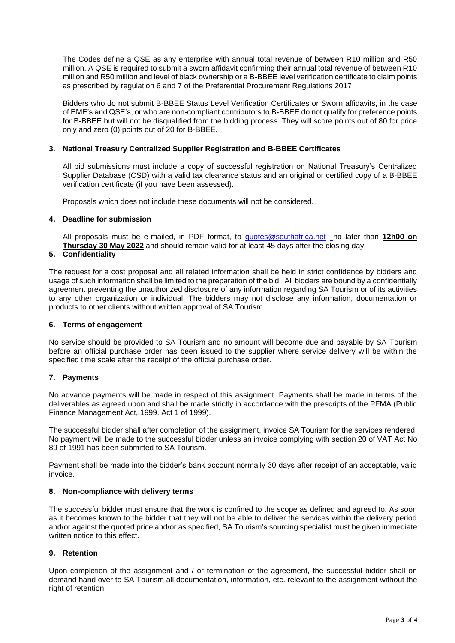The Codes define a QSE as any enterprise with annual total revenue of between R10 million and R50 million. A QSE is required to submit a sworn affidavit confirming their annual total revenue of between R10 million and R50 million and level of black ownership or a B-BBEE level verification certificate to claim points as prescribed by regulation 6 and 7 of the Preferential Procurement Regulations 2017

Bidders who do not submit B-BBEE Status Level Verification Certificates or Sworn affidavits, in the case of EME's and QSE's, or who are non-compliant contributors to B-BBEE do not qualify for preference points for B-BBEE but will not be disqualified from the bidding process. They will score points out of 80 for price only and zero (0) points out of 20 for B-BBEE.

### **3. National Treasury Centralized Supplier Registration and B-BBEE Certificates**

All bid submissions must include a copy of successful registration on National Treasury's Centralized Supplier Database (CSD) with a valid tax clearance status and an original or certified copy of a B-BBEE verification certificate (if you have been assessed).

Proposals which does not include these documents will not be considered.

### **4. Deadline for submission**

All proposals must be e-mailed, in PDF format, to [quotes@southafrica.net](mailto:sizakele@southafrica.net) no later than **12h00 on Thursday 30 May 2022** and should remain valid for at least 45 days after the closing day.

# **5. Confidentiality**

The request for a cost proposal and all related information shall be held in strict confidence by bidders and usage of such information shall be limited to the preparation of the bid. All bidders are bound by a confidentially agreement preventing the unauthorized disclosure of any information regarding SA Tourism or of its activities to any other organization or individual. The bidders may not disclose any information, documentation or products to other clients without written approval of SA Tourism.

#### **6. Terms of engagement**

No service should be provided to SA Tourism and no amount will become due and payable by SA Tourism before an official purchase order has been issued to the supplier where service delivery will be within the specified time scale after the receipt of the official purchase order.

# **7. Payments**

No advance payments will be made in respect of this assignment. Payments shall be made in terms of the deliverables as agreed upon and shall be made strictly in accordance with the prescripts of the PFMA (Public Finance Management Act, 1999. Act 1 of 1999).

The successful bidder shall after completion of the assignment, invoice SA Tourism for the services rendered. No payment will be made to the successful bidder unless an invoice complying with section 20 of VAT Act No 89 of 1991 has been submitted to SA Tourism.

Payment shall be made into the bidder's bank account normally 30 days after receipt of an acceptable, valid invoice.

#### **8. Non-compliance with delivery terms**

The successful bidder must ensure that the work is confined to the scope as defined and agreed to. As soon as it becomes known to the bidder that they will not be able to deliver the services within the delivery period and/or against the quoted price and/or as specified, SA Tourism's sourcing specialist must be given immediate written notice to this effect.

# **9. Retention**

Upon completion of the assignment and / or termination of the agreement, the successful bidder shall on demand hand over to SA Tourism all documentation, information, etc. relevant to the assignment without the right of retention.